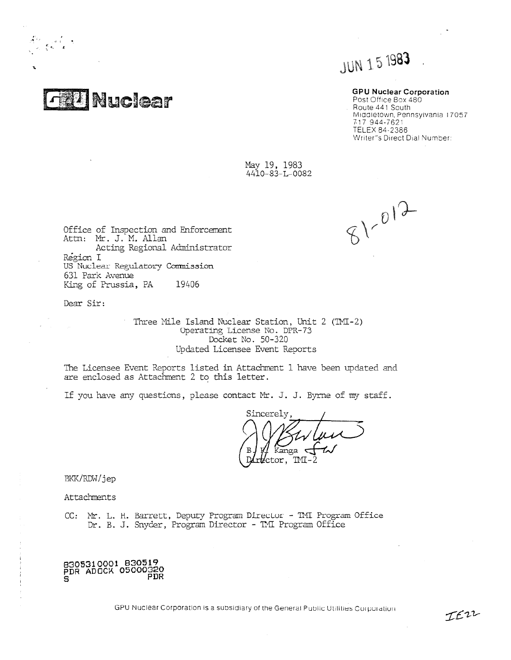$1, 1$   $3, 1$ 

# **GPU Nuclear Corporation**<br>Post Office Box 480

**FRANCICE TREE** Route 441 South Middletown, Pennsylvania I 7057 717 944-7621 TELEX 84-2386 Writer"s Direct Dial Number:

> May 19, 1983 4410-83-L-0082

 $81 - 012$ 

Office of Inspection and Enforcement Attn: Mr. J. M. Allan Acting Regional Administrator Region I US Nuclear Regulatory Commission 631 Park Avenue King of Prussia, PA 19406

Dear Sir:

 $\frac{D}{\lambda}$  ,  $\frac{A}{\lambda}$  ,  $\frac{A}{\lambda}$ 

Three Mile Island Nuclear Station, Unit  $2$  (TMI-2) Operating License No. DPR- 73 Docket No. 50-320 Updated Licensee Event Reports

The Licensee Event Reports listed in Attachrent I have been updated and are enclosed as Attachment 2 to this letter.

If you have any questions, please contact Mr. J. J. Byrne of my staff.

Sincerely *fI*

BKK/RDW/jep

Attachnents

,

, , CC: Mt. L. H. Barrett, Deputy Program Director - TNI Program Office Dr. B. J. Snyder, Program Director - TMI Program Office

8305310001 830519 PDR ADOČK 05000320 S<br>S

GPU Nuclear Corporation is a subsidiary of the General Public Utilities Corporation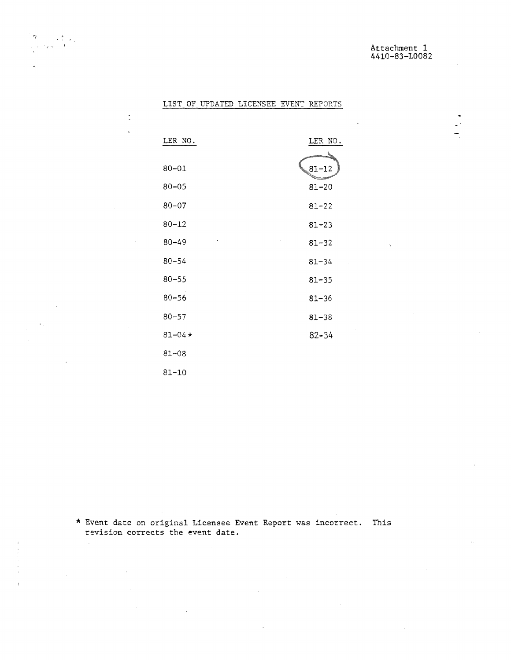$\frac{1}{2}$ 

 $\frac{1}{\sqrt{2}}$ 

|  | LIST OF UPDATED LICENSEE EVENT REPORTS |  |
|--|----------------------------------------|--|
|  |                                        |  |

 $\frac{1}{\sqrt{2}}\frac{1}{\sqrt{2}}\frac{1}{\sqrt{2}}\frac{1}{\sqrt{2}}\frac{1}{\sqrt{2}}\frac{1}{\sqrt{2}}\frac{1}{\sqrt{2}}\frac{1}{\sqrt{2}}\frac{1}{\sqrt{2}}\frac{1}{\sqrt{2}}\frac{1}{\sqrt{2}}\frac{1}{\sqrt{2}}\frac{1}{\sqrt{2}}\frac{1}{\sqrt{2}}\frac{1}{\sqrt{2}}\frac{1}{\sqrt{2}}\frac{1}{\sqrt{2}}\frac{1}{\sqrt{2}}\frac{1}{\sqrt{2}}\frac{1}{\sqrt{2}}\frac{1}{\sqrt{2}}\frac{1}{\sqrt{2}}$ 

 $\frac{1}{\pi}$  $\ddot{\phantom{a}}$ 

 $\gamma$ 

 $\mathbf{r}$ 

 $\mathcal{L}$ 

 $\mathcal{L}$ 

 $\Delta \sim 10^{11}$ 

| LER NO.    | LER NO.   |
|------------|-----------|
| $80 - 01$  | $81 - 12$ |
| $80 - 05$  | $81 - 20$ |
| $80 - 07$  | $81 - 22$ |
| $80 - 12$  | $81 - 23$ |
| $80 - 49$  | $81 - 32$ |
| $80 - 54$  | $81 - 34$ |
| $80 - 55$  | $81 - 35$ |
| $80 - 56$  | $81 - 36$ |
| $80 - 57$  | $81 - 38$ |
| $81 - 04*$ | $82 - 34$ |
| $81 - 08$  |           |
| 81-10      |           |

\* Event date on original Licensee Event Report was incorrect. Thisrevision corrects the event date.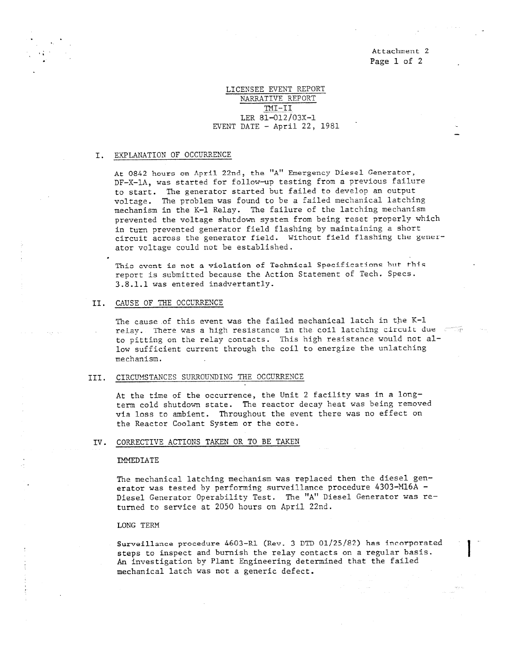. Attachment 2 Page 1 of 2

\_

### LICENSEE EVENT REPORT NARRATIVE REPORT TMI-II LER 81-012/03X-1 EVENT DATE  $-$  April 22, 1981

#### I. EXPLANATION OF OCCURRENCE

'

At 0842 hours on April 22nd, the "A" Emergency Diesel Generator, DF-X-1A, was started for follow-up testing from a previous failure to start. The generator started but failed to develop an output voltage. The problem was found to be a failed mechanical latching mechanism in the K-1 Relay. The failure of the latching mechanism prevented the voltage shutdown system from being reset properly which in turn prevented generator field flashing by maintaining a short circuit across the generator field. Without field flashing the genetator voltage could not be established.

This event is not a violation of Technical Specifications hut this report is submitted because the Action Statement of Tech. Specs. 3.8.1.1 was entered inadvertently.

### II. CAUSE OF THE OCCURRENCE

The cause of this event was the failed mechanical latch in the K-1 relay. There was a high resistance in the coil latching circuit due to pitting on the relay contacts. This high resistance would not allow sufficient current through the coil to energize the unlatching mechanism.

### III. CIRCUMSTANCES SURROUNDING THE OCCURRENCE

At the time of the occurrence, the Unit 2 facility was in a longterm cold shutdown state. The reactor decay heat was being removed via loss to ambient. Throughout the event there was no effect on the Reactor Coolant System or the core.

### IV. CORRECTIVE ACTIONS TAKEN OR TO BE TAKEN

#### **IMMEDIATE**

The mechanical latching mechanism was replaced then the diesel generator was tested by performing surveillance procedure 4303-M16A - Diesel Generator Operability Test. The "A" Diesel Generator was returned to service at 2050 hours on April 22nd.

### LONG TERM

Surveillance procedure 4603-R1 (Rev. 3 DTD 01/25/82) has inenrpnrated steps to inspect and burnish the relay contacts on a regular basis. An investigation by Plant Engineering determined that the failed mechanical latch was not a generic defect.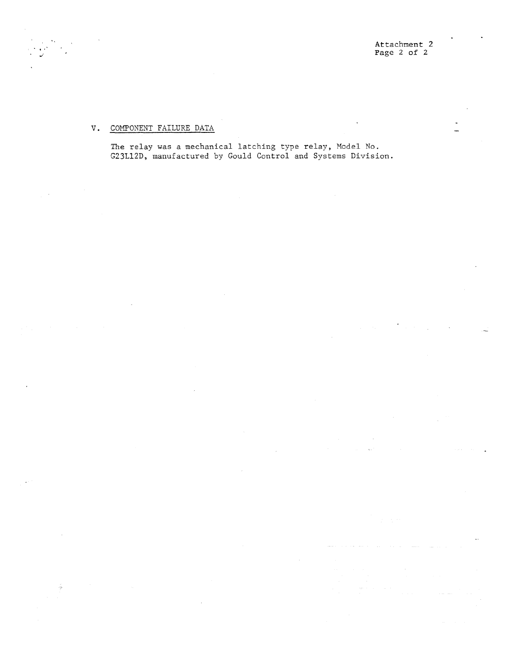$\ddot{\phantom{0}}$ 

## V. COMPONENT FAILURE DATA

á

The relay was a mechanical latching type relay, Model No. G23L12D, manufactured by Gould Control and Systems Division.